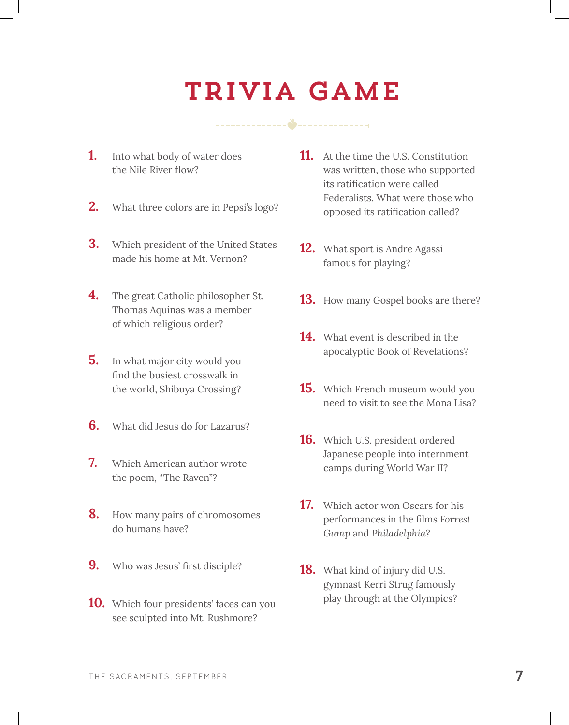## Trivia Game

- **1.** Into what body of water does the Nile River flow?
- **2.** What three colors are in Pepsi's logo?
- **3.** Which president of the United States made his home at Mt. Vernon?
- **4.** The great Catholic philosopher St. Thomas Aquinas was a member of which religious order?
- **5.** In what major city would you find the busiest crosswalk in the world, Shibuya Crossing?
- **6.** What did Jesus do for Lazarus?
- **7.** Which American author wrote the poem, "The Raven"?
- **8.** How many pairs of chromosomes do humans have?
- **9.** Who was Jesus' first disciple?
- **10.** Which four presidents' faces can you see sculpted into Mt. Rushmore?
- **11.** At the time the U.S. Constitution was written, those who supported its ratification were called Federalists. What were those who opposed its ratification called?
- **12.** What sport is Andre Agassi famous for playing?
- **13.** How many Gospel books are there?
- **14.** What event is described in the apocalyptic Book of Revelations?
- **15.** Which French museum would you need to visit to see the Mona Lisa?
- **16.** Which U.S. president ordered Japanese people into internment camps during World War II?
- **17.** Which actor won Oscars for his performances in the films *Forrest Gump* and *Philadelphia*?
- **18.** What kind of injury did U.S. gymnast Kerri Strug famously play through at the Olympics?